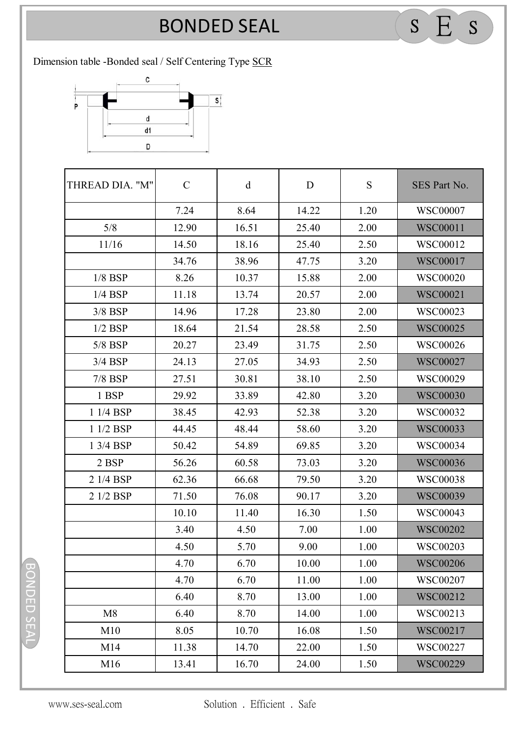## **BONDED SEAL** BONDED SEAL <sup>S</sup> E <sup>S</sup>

Dimension table -Bonded seal / Self Centering Type SCR



| THREAD DIA. "M" | $\mathbf C$ | $\mathbf d$ | D     | ${\bf S}$ | SES Part No.    |
|-----------------|-------------|-------------|-------|-----------|-----------------|
|                 | 7.24        | 8.64        | 14.22 | 1.20      | <b>WSC00007</b> |
| 5/8             | 12.90       | 16.51       | 25.40 | 2.00      | <b>WSC00011</b> |
| 11/16           | 14.50       | 18.16       | 25.40 | 2.50      | WSC00012        |
|                 | 34.76       | 38.96       | 47.75 | 3.20      | <b>WSC00017</b> |
| $1/8$ BSP       | 8.26        | 10.37       | 15.88 | 2.00      | <b>WSC00020</b> |
| $1/4$ BSP       | 11.18       | 13.74       | 20.57 | 2.00      | <b>WSC00021</b> |
| $3/8$ BSP       | 14.96       | 17.28       | 23.80 | 2.00      | WSC00023        |
| $1/2$ BSP       | 18.64       | 21.54       | 28.58 | 2.50      | <b>WSC00025</b> |
| 5/8 BSP         | 20.27       | 23.49       | 31.75 | 2.50      | <b>WSC00026</b> |
| $3/4$ BSP       | 24.13       | 27.05       | 34.93 | 2.50      | <b>WSC00027</b> |
| 7/8 BSP         | 27.51       | 30.81       | 38.10 | 2.50      | WSC00029        |
| 1 BSP           | 29.92       | 33.89       | 42.80 | 3.20      | <b>WSC00030</b> |
| 1 1/4 BSP       | 38.45       | 42.93       | 52.38 | 3.20      | WSC00032        |
| 1 1/2 BSP       | 44.45       | 48.44       | 58.60 | 3.20      | <b>WSC00033</b> |
| 1 3/4 BSP       | 50.42       | 54.89       | 69.85 | 3.20      | <b>WSC00034</b> |
| 2 BSP           | 56.26       | 60.58       | 73.03 | 3.20      | <b>WSC00036</b> |
| 2 1/4 BSP       | 62.36       | 66.68       | 79.50 | 3.20      | <b>WSC00038</b> |
| 2 1/2 BSP       | 71.50       | 76.08       | 90.17 | 3.20      | <b>WSC00039</b> |
|                 | 10.10       | 11.40       | 16.30 | 1.50      | <b>WSC00043</b> |
|                 | 3.40        | 4.50        | 7.00  | 1.00      | <b>WSC00202</b> |
|                 | 4.50        | 5.70        | 9.00  | 1.00      | <b>WSC00203</b> |
|                 | 4.70        | 6.70        | 10.00 | 1.00      | <b>WSC00206</b> |
|                 | 4.70        | 6.70        | 11.00 | 1.00      | WSC00207        |
|                 | 6.40        | 8.70        | 13.00 | 1.00      | WSC00212        |
| M8              | 6.40        | 8.70        | 14.00 | 1.00      | WSC00213        |
| M10             | 8.05        | 10.70       | 16.08 | 1.50      | WSC00217        |
| M14             | 11.38       | 14.70       | 22.00 | 1.50      | WSC00227        |
| M16             | 13.41       | 16.70       | 24.00 | 1.50      | <b>WSC00229</b> |

BONDED SEAL